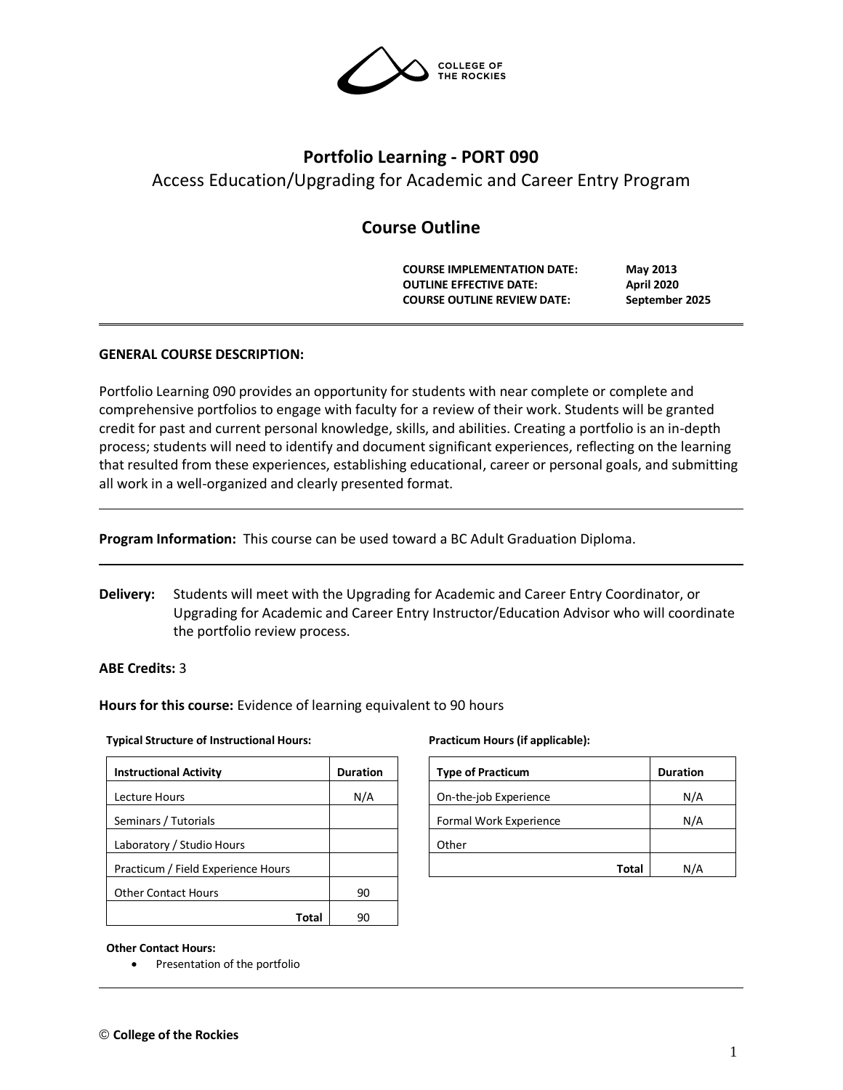

# **Portfolio Learning - PORT 090**

Access Education/Upgrading for Academic and Career Entry Program

# **Course Outline**

**COURSE IMPLEMENTATION DATE: May 2013 OUTLINE EFFECTIVE DATE: April 2020 COURSE OUTLINE REVIEW DATE: September 2025**

## **GENERAL COURSE DESCRIPTION:**

Portfolio Learning 090 provides an opportunity for students with near complete or complete and comprehensive portfolios to engage with faculty for a review of their work. Students will be granted credit for past and current personal knowledge, skills, and abilities. Creating a portfolio is an in-depth process; students will need to identify and document significant experiences, reflecting on the learning that resulted from these experiences, establishing educational, career or personal goals, and submitting all work in a well-organized and clearly presented format.

**Program Information:** This course can be used toward a BC Adult Graduation Diploma.

**Delivery:** Students will meet with the Upgrading for Academic and Career Entry Coordinator, or Upgrading for Academic and Career Entry Instructor/Education Advisor who will coordinate the portfolio review process.

## **ABE Credits:** 3

**Hours for this course:** Evidence of learning equivalent to 90 hours

#### **Typical Structure of Instructional Hours:**

| <b>Instructional Activity</b>      | <b>Duration</b> |
|------------------------------------|-----------------|
| Lecture Hours                      | N/A             |
| Seminars / Tutorials               |                 |
| Laboratory / Studio Hours          |                 |
| Practicum / Field Experience Hours |                 |
| <b>Other Contact Hours</b>         | 90              |
| Total                              |                 |

#### **Practicum Hours (if applicable):**

| <b>Type of Practicum</b> | <b>Duration</b> |
|--------------------------|-----------------|
| On-the-job Experience    | N/A             |
| Formal Work Experience   | N/A             |
| Other                    |                 |
| Total                    | N/A             |

#### **Other Contact Hours:**

• Presentation of the portfolio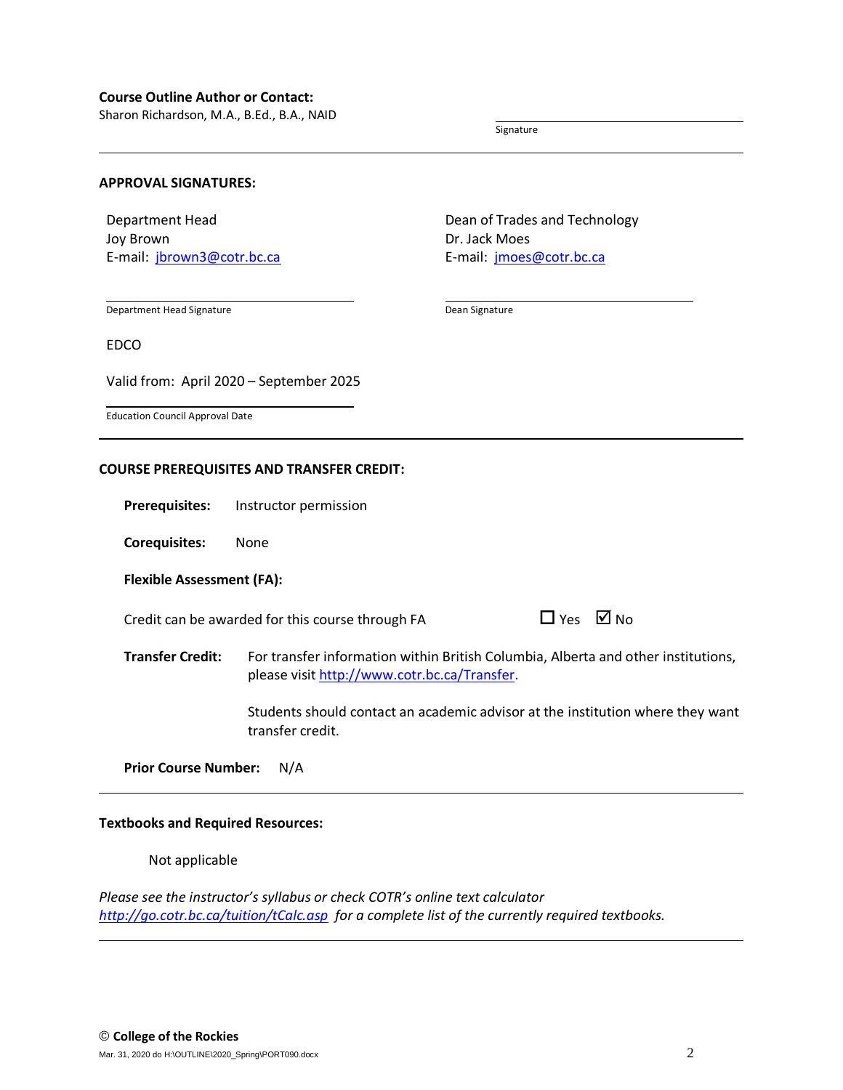Sharon Richardson, M.A., B.Ed., B.A., NAID

Signature

## **APPROVAL SIGNATURES:**

Department Head Joy Brown E-mail: [jbrown3@cotr.bc.ca](mailto:jbrown3@cotr.bc.ca) Dean of Trades and Technology Dr. Jack Moes E-mail: [jmoes@cotr.bc.ca](mailto:jmoes@cotr.bc.ca)

Department Head Signature

Dean Signature

EDCO

Valid from: April 2020 – September 2025

Education Council Approval Date

#### **COURSE PREREQUISITES AND TRANSFER CREDIT:**

**Prerequisites:** Instructor permission

**Corequisites:** None

**Flexible Assessment (FA):**

Credit can be awarded for this course through FA  $\Box$  Yes  $\Box$  No

**Transfer Credit:** For transfer information within British Columbia, Alberta and other institutions, please visit [http://www.cotr.bc.ca/Transfer.](http://www.cotr.bc.ca/Transfer)

> Students should contact an academic advisor at the institution where they want transfer credit.

#### **Prior Course Number:** N/A

#### **Textbooks and Required Resources:**

## Not applicable

*Please see the instructor's syllabus or check COTR's online text calculator <http://go.cotr.bc.ca/tuition/tCalc.asp>for a complete list of the currently required textbooks.*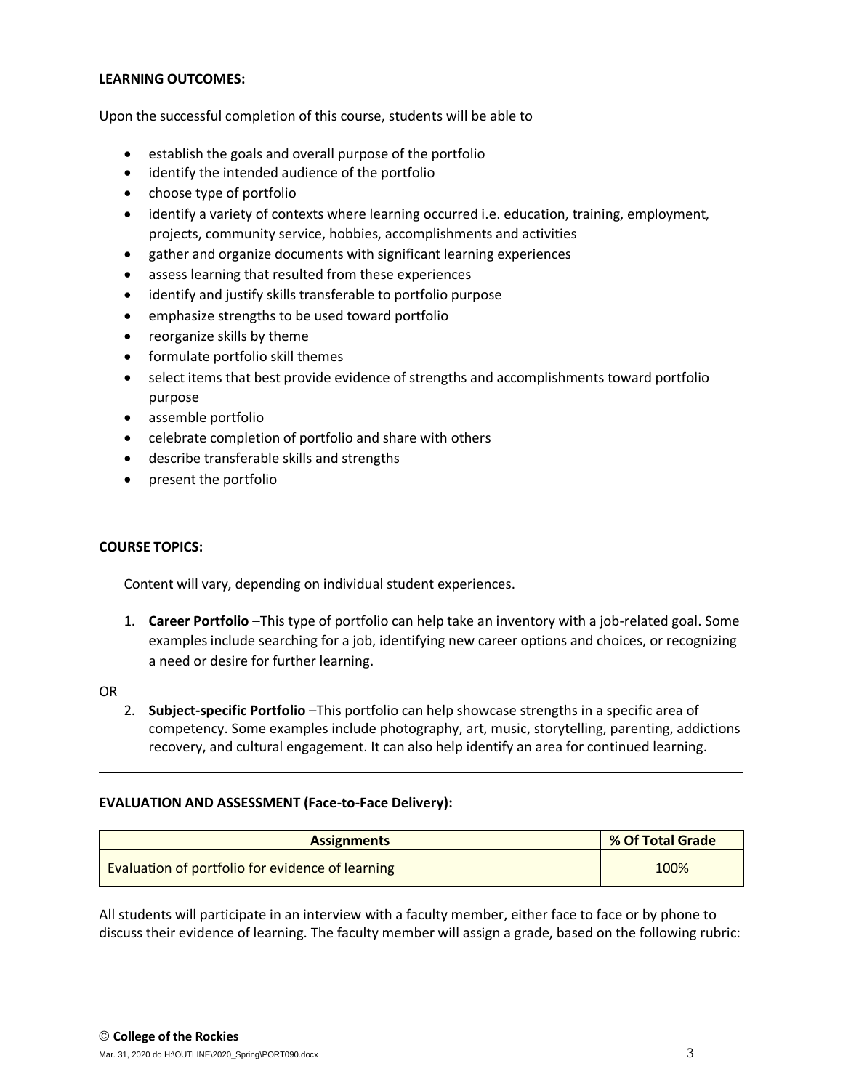## **LEARNING OUTCOMES:**

Upon the successful completion of this course, students will be able to

- establish the goals and overall purpose of the portfolio
- identify the intended audience of the portfolio
- choose type of portfolio
- identify a variety of contexts where learning occurred i.e. education, training, employment, projects, community service, hobbies, accomplishments and activities
- gather and organize documents with significant learning experiences
- assess learning that resulted from these experiences
- identify and justify skills transferable to portfolio purpose
- emphasize strengths to be used toward portfolio
- reorganize skills by theme
- formulate portfolio skill themes
- select items that best provide evidence of strengths and accomplishments toward portfolio purpose
- assemble portfolio
- celebrate completion of portfolio and share with others
- describe transferable skills and strengths
- present the portfolio

## **COURSE TOPICS:**

Content will vary, depending on individual student experiences.

1. **Career Portfolio** –This type of portfolio can help take an inventory with a job-related goal. Some examples include searching for a job, identifying new career options and choices, or recognizing a need or desire for further learning.

## OR

2. **Subject-specific Portfolio** –This portfolio can help showcase strengths in a specific area of competency. Some examples include photography, art, music, storytelling, parenting, addictions recovery, and cultural engagement. It can also help identify an area for continued learning.

## **EVALUATION AND ASSESSMENT (Face-to-Face Delivery):**

| <b>Assignments</b>                               | % Of Total Grade |
|--------------------------------------------------|------------------|
| Evaluation of portfolio for evidence of learning | 100%             |

All students will participate in an interview with a faculty member, either face to face or by phone to discuss their evidence of learning. The faculty member will assign a grade, based on the following rubric: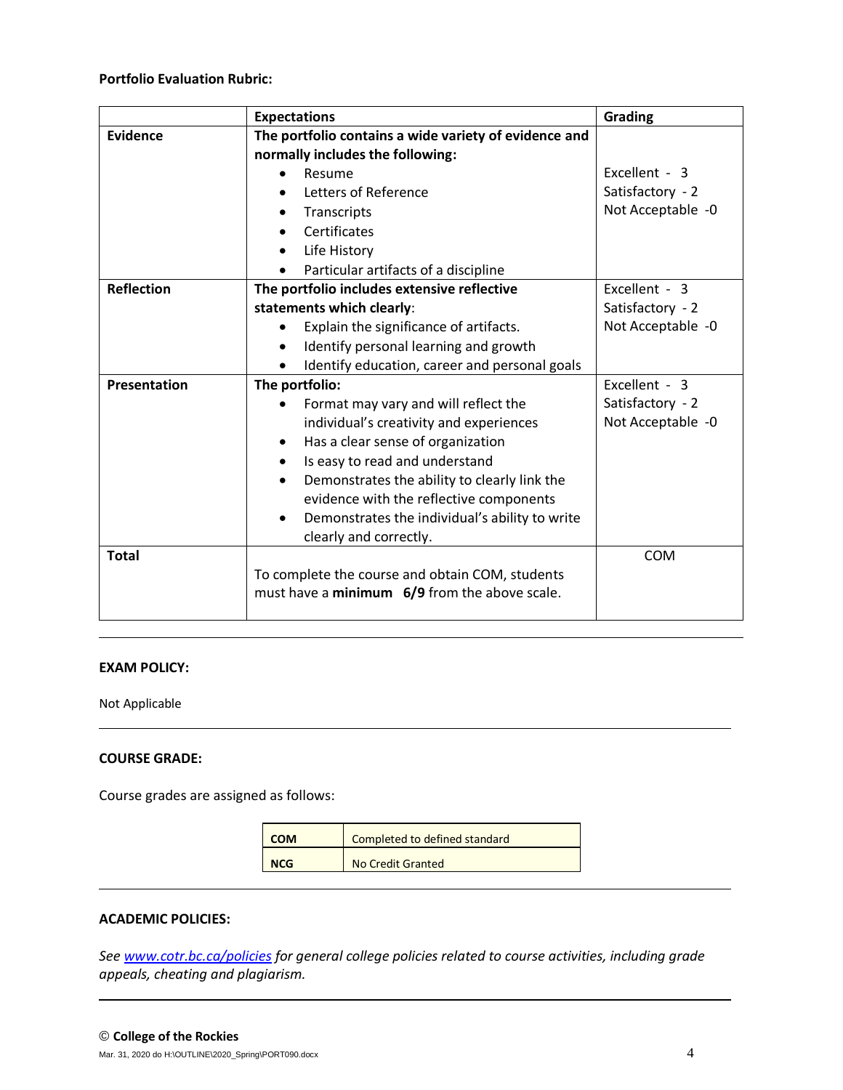# **Portfolio Evaluation Rubric:**

|                     | <b>Expectations</b>                                   | <b>Grading</b>    |
|---------------------|-------------------------------------------------------|-------------------|
| <b>Evidence</b>     | The portfolio contains a wide variety of evidence and |                   |
|                     | normally includes the following:                      |                   |
|                     | Resume                                                | Excellent - 3     |
|                     | Letters of Reference                                  | Satisfactory - 2  |
|                     | Transcripts                                           | Not Acceptable -0 |
|                     | Certificates<br>$\bullet$                             |                   |
|                     | Life History                                          |                   |
|                     | Particular artifacts of a discipline                  |                   |
| <b>Reflection</b>   | The portfolio includes extensive reflective           | Excellent - 3     |
|                     | statements which clearly:                             | Satisfactory - 2  |
|                     | Explain the significance of artifacts.                | Not Acceptable -0 |
|                     | Identify personal learning and growth                 |                   |
|                     | Identify education, career and personal goals         |                   |
| <b>Presentation</b> | The portfolio:                                        | Excellent - 3     |
|                     | Format may vary and will reflect the                  | Satisfactory - 2  |
|                     | individual's creativity and experiences               | Not Acceptable -0 |
|                     | Has a clear sense of organization<br>٠                |                   |
|                     | Is easy to read and understand<br>$\bullet$           |                   |
|                     | Demonstrates the ability to clearly link the          |                   |
|                     | evidence with the reflective components               |                   |
|                     | Demonstrates the individual's ability to write        |                   |
|                     | clearly and correctly.                                |                   |
| <b>Total</b>        |                                                       | <b>COM</b>        |
|                     | To complete the course and obtain COM, students       |                   |
|                     | must have a minimum 6/9 from the above scale.         |                   |
|                     |                                                       |                   |

# **EXAM POLICY:**

Not Applicable

# **COURSE GRADE:**

Course grades are assigned as follows:

| <b>COM</b> | Completed to defined standard |
|------------|-------------------------------|
| <b>NCG</b> | No Credit Granted             |

# **ACADEMIC POLICIES:**

*See [www.cotr.bc.ca/policies](http://www.cotr.bc.ca/policies) for general college policies related to course activities, including grade appeals, cheating and plagiarism.*